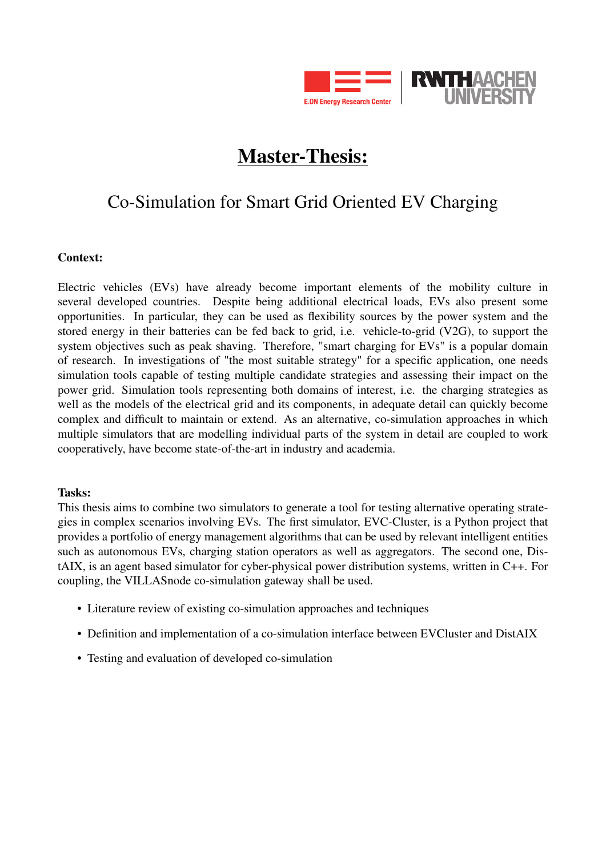

# Master-Thesis:

## Co-Simulation for Smart Grid Oriented EV Charging

#### Context:

Electric vehicles (EVs) have already become important elements of the mobility culture in several developed countries. Despite being additional electrical loads, EVs also present some opportunities. In particular, they can be used as flexibility sources by the power system and the stored energy in their batteries can be fed back to grid, i.e. vehicle-to-grid (V2G), to support the system objectives such as peak shaving. Therefore, "smart charging for EVs" is a popular domain of research. In investigations of "the most suitable strategy" for a specific application, one needs simulation tools capable of testing multiple candidate strategies and assessing their impact on the power grid. Simulation tools representing both domains of interest, i.e. the charging strategies as well as the models of the electrical grid and its components, in adequate detail can quickly become complex and difficult to maintain or extend. As an alternative, co-simulation approaches in which multiple simulators that are modelling individual parts of the system in detail are coupled to work cooperatively, have become state-of-the-art in industry and academia.

#### Tasks:

This thesis aims to combine two simulators to generate a tool for testing alternative operating strategies in complex scenarios involving EVs. The first simulator, EVC-Cluster, is a Python project that provides a portfolio of energy management algorithms that can be used by relevant intelligent entities such as autonomous EVs, charging station operators as well as aggregators. The second one, DistAIX, is an agent based simulator for cyber-physical power distribution systems, written in C++. For coupling, the VILLASnode co-simulation gateway shall be used.

- Literature review of existing co-simulation approaches and techniques
- Definition and implementation of a co-simulation interface between EVCluster and DistAIX
- Testing and evaluation of developed co-simulation